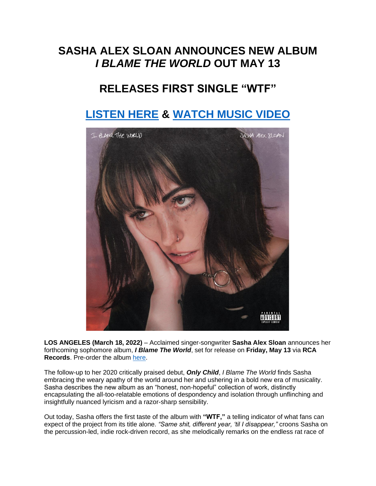## **SASHA ALEX SLOAN ANNOUNCES NEW ALBUM** *I BLAME THE WORLD* **OUT MAY 13**

## **RELEASES FIRST SINGLE "WTF"**

## **[LISTEN HERE](https://eur01.safelinks.protection.outlook.com/?url=https%3A%2F%2Fsadgirlsloan.lnk.to%2FWTF&data=04%7C01%7Cnoelle.janasiewicz.sme%40sonymusic.com%7C243af8e39c5a4bc8885908da08ff4afd%7Cf0aff3b791a54aaeaf71c63e1dda2049%7C0%7C0%7C637832189804692056%7CUnknown%7CTWFpbGZsb3d8eyJWIjoiMC4wLjAwMDAiLCJQIjoiV2luMzIiLCJBTiI6Ik1haWwiLCJXVCI6Mn0%3D%7C3000&sdata=aofu7r11X58DoZ%2BPFGVK1Ild0agYGVRFokiDBAyRG7I%3D&reserved=0) & [WATCH MUSIC VIDEO](https://eur01.safelinks.protection.outlook.com/?url=https%3A%2F%2Fsadgirlsloan.lnk.to%2FWTF%2Fyoutube&data=04%7C01%7Cnoelle.janasiewicz.sme%40sonymusic.com%7C243af8e39c5a4bc8885908da08ff4afd%7Cf0aff3b791a54aaeaf71c63e1dda2049%7C0%7C0%7C637832189804692056%7CUnknown%7CTWFpbGZsb3d8eyJWIjoiMC4wLjAwMDAiLCJQIjoiV2luMzIiLCJBTiI6Ik1haWwiLCJXVCI6Mn0%3D%7C3000&sdata=ESmn5Pnw9SXYkBh6S4sQ8T3b%2Bxu79UW2iLzfhBqcbbA%3D&reserved=0)**



**LOS ANGELES (March 18, 2022)** – Acclaimed singer-songwriter **Sasha Alex Sloan** announces her forthcoming sophomore album, *I Blame The World*, set for release on **Friday, May 13** via **RCA Records**. Pre-order the album [here.](https://eur01.safelinks.protection.outlook.com/?url=https%3A%2F%2Fsadgirlsloan.lnk.to%2FIBTW&data=04%7C01%7Cnoelle.janasiewicz.sme%40sonymusic.com%7C243af8e39c5a4bc8885908da08ff4afd%7Cf0aff3b791a54aaeaf71c63e1dda2049%7C0%7C0%7C637832189804692056%7CUnknown%7CTWFpbGZsb3d8eyJWIjoiMC4wLjAwMDAiLCJQIjoiV2luMzIiLCJBTiI6Ik1haWwiLCJXVCI6Mn0%3D%7C3000&sdata=Bdn7HTtVF9s68jPR34haXG8TUQ2RA1%2BXflHWuj1ORU0%3D&reserved=0)

The follow-up to her 2020 critically praised debut, *Only Child*, *I Blame The World* finds Sasha embracing the weary apathy of the world around her and ushering in a bold new era of musicality. Sasha describes the new album as an "honest, non-hopeful" collection of work, distinctly encapsulating the all-too-relatable emotions of despondency and isolation through unflinching and insightfully nuanced lyricism and a razor-sharp sensibility.

Out today, Sasha offers the first taste of the album with **"WTF,"** a telling indicator of what fans can expect of the project from its title alone. *"Same shit, different year, 'til I disappear,"* croons Sasha on the percussion-led, indie rock-driven record, as she melodically remarks on the endless rat race of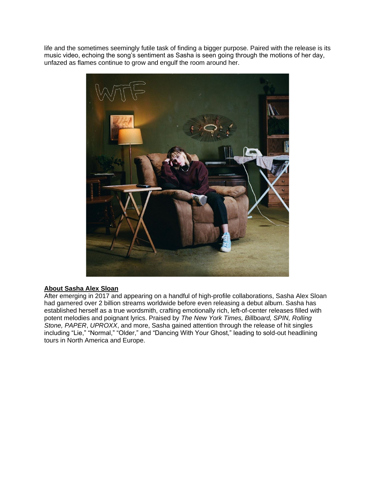life and the sometimes seemingly futile task of finding a bigger purpose. Paired with the release is its music video, echoing the song's sentiment as Sasha is seen going through the motions of her day, unfazed as flames continue to grow and engulf the room around her.



## **About Sasha Alex Sloan**

After emerging in 2017 and appearing on a handful of high-profile collaborations, Sasha Alex Sloan had garnered over 2 billion streams worldwide before even releasing a debut album. Sasha has established herself as a true wordsmith, crafting emotionally rich, left-of-center releases filled with potent melodies and poignant lyrics. Praised by *The New York Times, Billboard, SPIN, Rolling Stone, PAPER*, *UPROXX*, and more, Sasha gained attention through the release of hit singles including "Lie," "Normal," "Older," and "Dancing With Your Ghost," leading to sold-out headlining tours in North America and Europe.